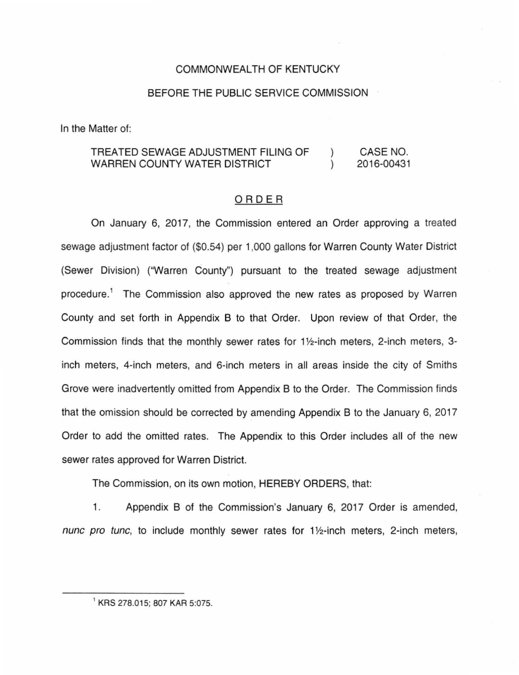### COMMONWEALTH OF KENTUCKY

### BEFORE THE PUBLIC SERVICE COMMISSION

In the Matter of:

#### TREATED SEWAGE ADJUSTMENT FILING OF CASE NO.  $\mathcal{L}$ WARREN COUNTY WATER DISTRICT 2016-00431  $\mathcal{L}$

### ORDER

On January 6, 2017, the Commission entered an Order approving a treated sewage adjustment factor of (\$0.54) per 1,000 gallons for Warren County Water District (Sewer Division) ("Warren County") pursuant to the treated sewage adjustment procedure.<sup>1</sup> The Commission also approved the new rates as proposed by Warren County and set forth in Appendix B to that Order. Upon review of that Order, the Commission finds that the monthly sewer rates for 1<sup>1</sup>/<sub>2</sub>-inch meters, 2-inch meters, 3inch meters, 4-inch meters, and 6-inch meters in all areas inside the city of Smiths Grove were inadvertently omitted from Appendix B to the Order. The Commission finds that the omission should be corrected by amending Appendix B to the January 6, 2017 Order to add the omitted rates. The Appendix to this Order includes all of the new sewer rates approved for Warren District.

The Commission, on its own motion, HEREBY ORDERS, that:

1. Appendix B of the Commission's January 6, 2017 Order is amended, nunc pro tunc, to include monthly sewer rates for  $1\frac{1}{2}$ -inch meters, 2-inch meters,

<sup>1</sup>KRS 278.015; 807 KAR 5:075.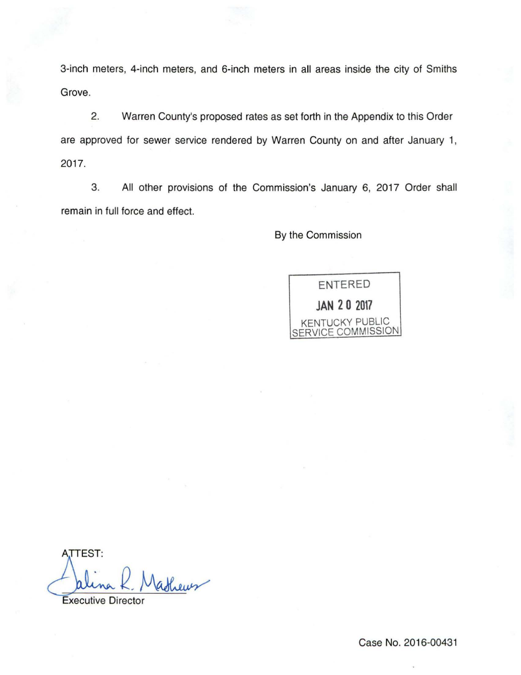3-inch meters, 4-inch meters, and 6-inch meters in all areas inside the city of Smiths Grove.

2. Warren County's proposed rates as set forth in the Appendix to this Order are approved for sewer service rendered by Warren County on and after January 1, 2017.

3. All other provisions of the Commission's January 6, 2017 Order shall remain in full force and effect.

By the Commission



ATTEST:<br>alina R Matheus

Case No. 2016-00431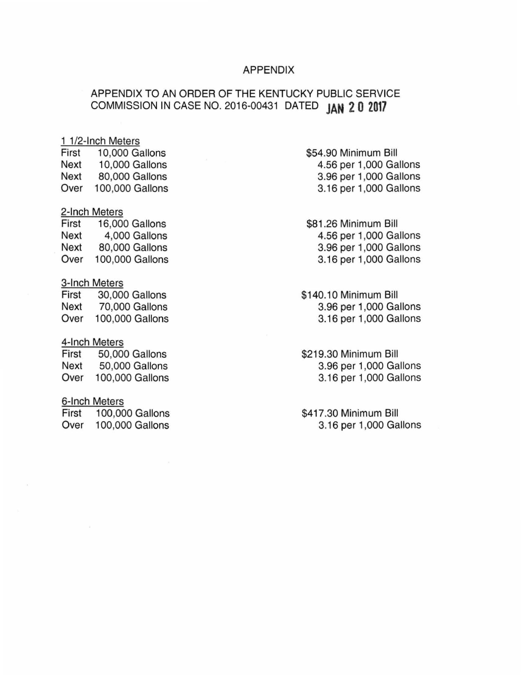#### APPENDIX

## APPENDIX TO AN ORDER OF THE KENTUCKY PUBLIC SERVICE COMMISSION IN CASE NO. 2016-00431 DATED **JAN 2 0 2017**

#### 1 1/2-lnch Meters

First 10,000 Gallons Next 10,000 Gallons Next 80,000 Gallons Over 100,000 Gallons

# 2-Inch Meters<br>First 16.00

16,000 Gallons Next 4,000 Gallons Next 80,000 Gallons Over 100,000 Gallons

#### 3-lnch Meters

First 30,000 Gallons Next 70,000 Gallons Over 100,000 Gallons

#### 4-lnch Meters

First 50,000 Gallons Next 50,000 Gallons Over 100,000 Gallons

#### 6-lnch Meters

First 100,000 Gallons Over 100,000 Gallons

\$54.90 Minimum Bill 4.56 per 1 ,000 Gallons 3.96 per 1 ,000 Gallons 3.16 per 1,000 Gallons

\$81.26 Minimum Bill 4.56 per 1 ,000 Gallons 3.96 per 1 ,000 Gallons 3.16 per 1 ,000 Gallons

\$140.10 Minimum Bill 3.96 per 1 ,000 Gallons 3.16 per 1 ,000 Gallons

\$219.30 Minimum Bill 3.96 per 1,000 Gallons 3.16 per 1 ,000 Gallons

\$417.30 Minimum Bill 3.16 per 1 ,000 Gallons